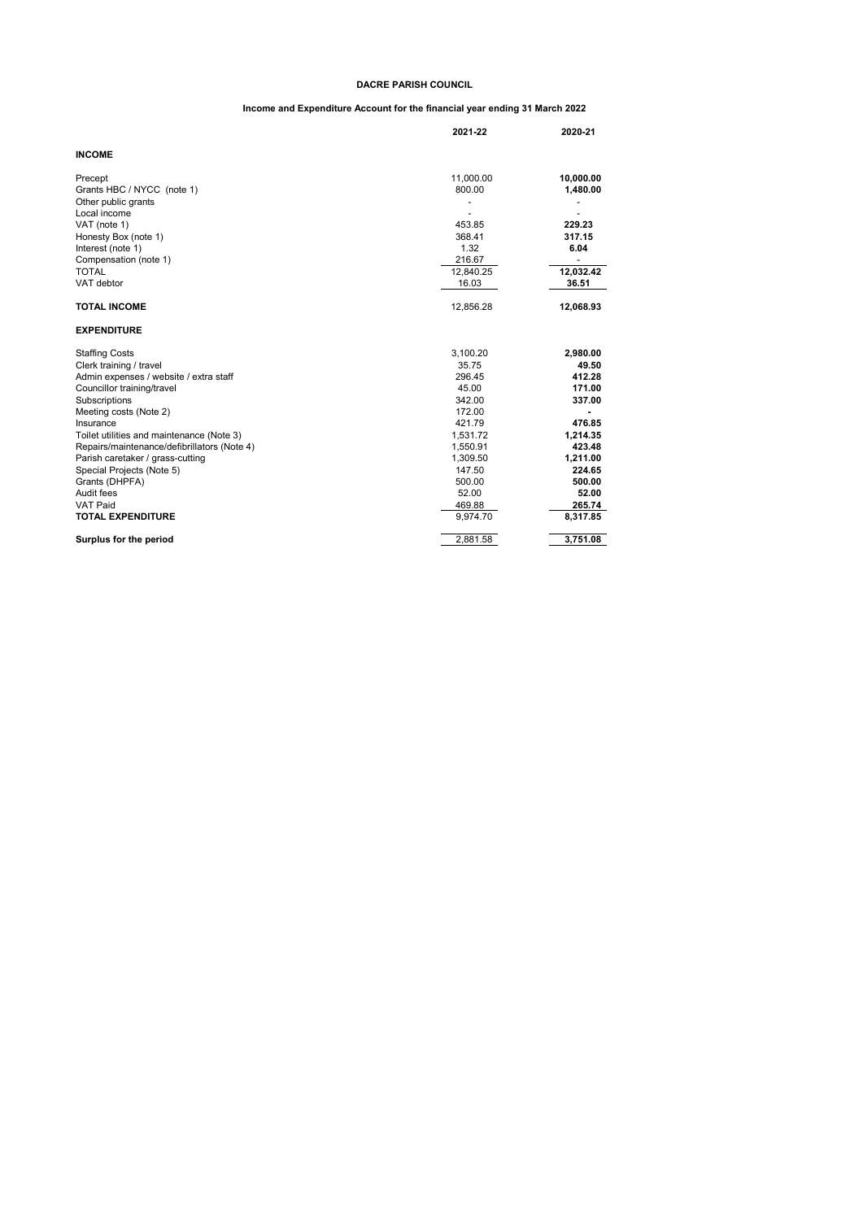### **DACRE PARISH COUNCIL**

# **Income and Expenditure Account for the financial year ending 31 March 2022**

|                                             | 2021-22   | 2020-21   |
|---------------------------------------------|-----------|-----------|
| <b>INCOME</b>                               |           |           |
| Precept                                     | 11,000.00 | 10,000.00 |
| Grants HBC / NYCC (note 1)                  | 800.00    | 1,480.00  |
| Other public grants                         |           |           |
| Local income                                |           |           |
| VAT (note 1)                                | 453.85    | 229.23    |
| Honesty Box (note 1)                        | 368.41    | 317.15    |
| Interest (note 1)                           | 1.32      | 6.04      |
| Compensation (note 1)                       | 216.67    |           |
| <b>TOTAL</b>                                | 12,840.25 | 12,032.42 |
| VAT debtor                                  | 16.03     | 36.51     |
| <b>TOTAL INCOME</b>                         | 12,856.28 | 12,068.93 |
| <b>EXPENDITURE</b>                          |           |           |
| <b>Staffing Costs</b>                       | 3,100.20  | 2,980.00  |
| Clerk training / travel                     | 35.75     | 49.50     |
| Admin expenses / website / extra staff      | 296.45    | 412.28    |
| Councillor training/travel                  | 45.00     | 171.00    |
| Subscriptions                               | 342.00    | 337.00    |
| Meeting costs (Note 2)                      | 172.00    |           |
| Insurance                                   | 421.79    | 476.85    |
| Toilet utilities and maintenance (Note 3)   | 1,531.72  | 1,214.35  |
| Repairs/maintenance/defibrillators (Note 4) | 1,550.91  | 423.48    |
| Parish caretaker / grass-cutting            | 1,309.50  | 1,211.00  |
| Special Projects (Note 5)                   | 147.50    | 224.65    |
| Grants (DHPFA)                              | 500.00    | 500.00    |
| Audit fees                                  | 52.00     | 52.00     |
| <b>VAT Paid</b>                             | 469.88    | 265.74    |
| <b>TOTAL EXPENDITURE</b>                    | 9,974.70  | 8,317.85  |
| Surplus for the period                      | 2,881.58  | 3,751.08  |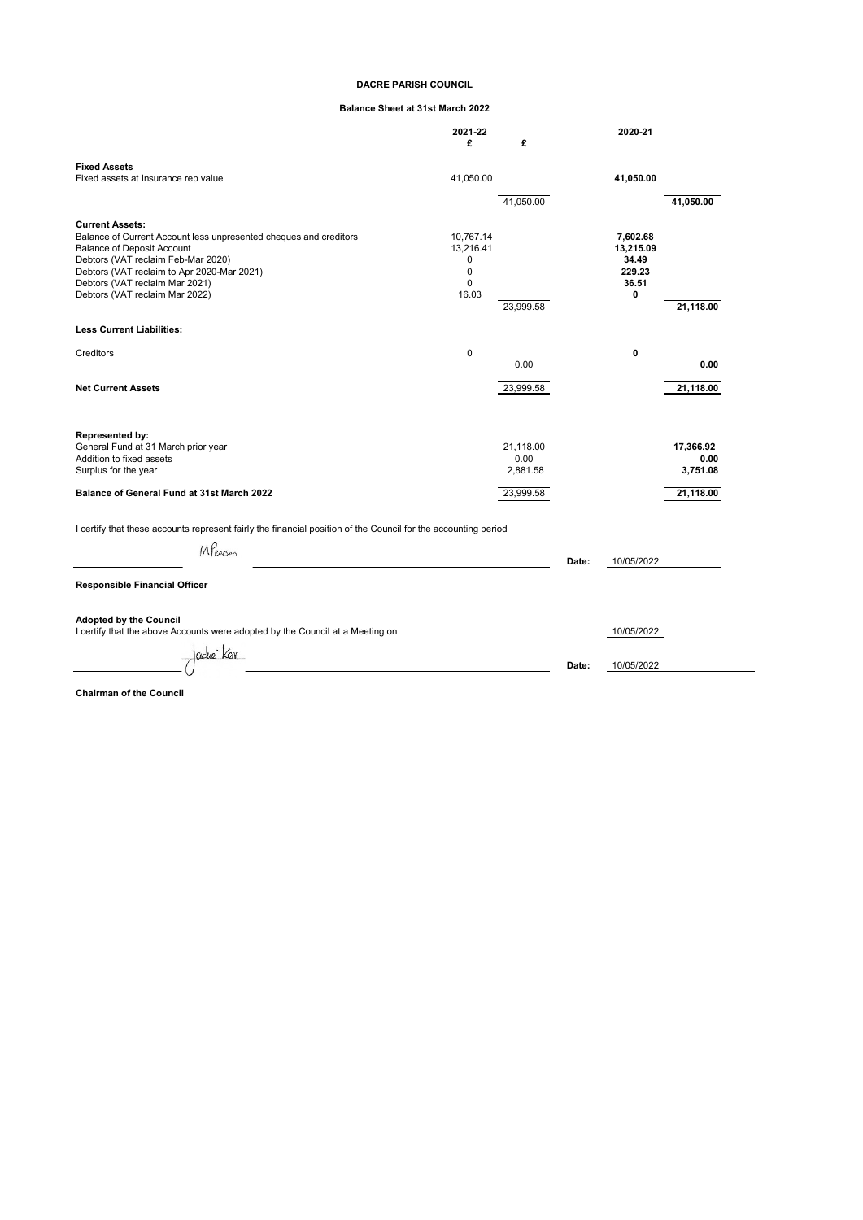# **DACRE PARISH COUNCIL**

# **Balance Sheet at 31st March 2022**

|                                                                                                                | 2021-22<br>£   | £         |       | 2020-21            |           |
|----------------------------------------------------------------------------------------------------------------|----------------|-----------|-------|--------------------|-----------|
| <b>Fixed Assets</b>                                                                                            |                |           |       |                    |           |
| Fixed assets at Insurance rep value                                                                            | 41,050.00      |           |       | 41,050.00          |           |
|                                                                                                                |                | 41,050.00 |       |                    | 41,050.00 |
|                                                                                                                |                |           |       |                    |           |
| <b>Current Assets:</b>                                                                                         |                |           |       |                    |           |
| Balance of Current Account less unpresented cheques and creditors                                              | 10,767.14      |           |       | 7,602.68           |           |
| <b>Balance of Deposit Account</b><br>Debtors (VAT reclaim Feb-Mar 2020)                                        | 13,216.41<br>0 |           |       | 13,215.09<br>34.49 |           |
| Debtors (VAT reclaim to Apr 2020-Mar 2021)                                                                     | 0              |           |       | 229.23             |           |
| Debtors (VAT reclaim Mar 2021)                                                                                 | $\Omega$       |           |       | 36.51              |           |
| Debtors (VAT reclaim Mar 2022)                                                                                 | 16.03          |           |       | 0                  |           |
|                                                                                                                |                | 23.999.58 |       |                    | 21,118.00 |
| <b>Less Current Liabilities:</b>                                                                               |                |           |       |                    |           |
|                                                                                                                |                |           |       |                    |           |
| Creditors                                                                                                      | 0              |           |       | 0                  |           |
|                                                                                                                |                | 0.00      |       |                    | 0.00      |
| <b>Net Current Assets</b>                                                                                      |                | 23,999.58 |       |                    | 21,118.00 |
|                                                                                                                |                |           |       |                    |           |
| Represented by:                                                                                                |                |           |       |                    |           |
| General Fund at 31 March prior year                                                                            |                | 21,118.00 |       |                    | 17,366.92 |
| Addition to fixed assets                                                                                       |                | 0.00      |       |                    | 0.00      |
| Surplus for the year                                                                                           |                | 2,881.58  |       |                    | 3,751.08  |
| Balance of General Fund at 31st March 2022                                                                     |                | 23,999.58 |       |                    | 21,118.00 |
| I certify that these accounts represent fairly the financial position of the Council for the accounting period |                |           |       |                    |           |
| MPearson                                                                                                       |                |           | Date: | 10/05/2022         |           |
| <b>Responsible Financial Officer</b>                                                                           |                |           |       |                    |           |
| <b>Adopted by the Council</b><br>I certify that the above Accounts were adopted by the Council at a Meeting on |                |           |       | 10/05/2022         |           |
|                                                                                                                |                |           |       |                    |           |
| adue Kan                                                                                                       |                |           |       |                    |           |
|                                                                                                                |                |           | Date: | 10/05/2022         |           |

**Chairman of the Council**